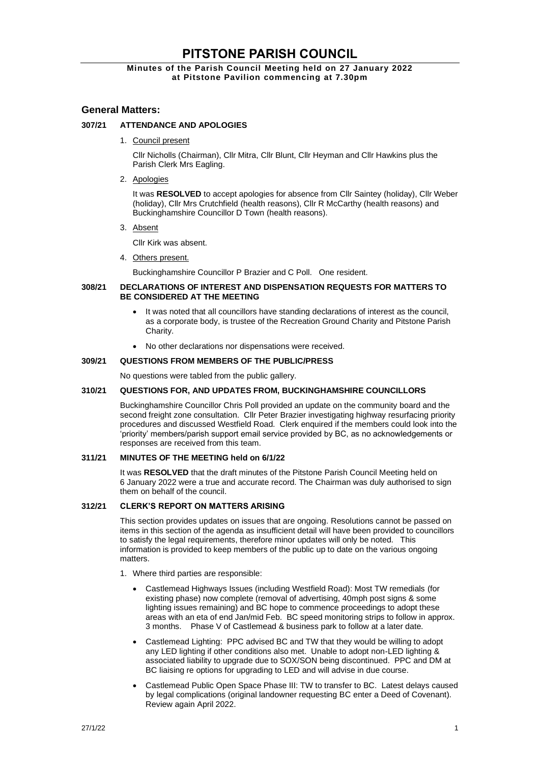# **PITSTONE PARISH COUNCIL**

## **Minutes of the Parish Council Meeting held on 27 January 2022 at Pitstone Pavilion commencing at 7.30pm**

# **General Matters:**

## **307/21 ATTENDANCE AND APOLOGIES**

1. Council present

Cllr Nicholls (Chairman), Cllr Mitra, Cllr Blunt, Cllr Heyman and Cllr Hawkins plus the Parish Clerk Mrs Eagling.

2. Apologies

It was **RESOLVED** to accept apologies for absence from Cllr Saintey (holiday), Cllr Weber (holiday), Cllr Mrs Crutchfield (health reasons), Cllr R McCarthy (health reasons) and Buckinghamshire Councillor D Town (health reasons).

3. Absent

Cllr Kirk was absent.

4. Others present.

Buckinghamshire Councillor P Brazier and C Poll. One resident.

## **308/21 DECLARATIONS OF INTEREST AND DISPENSATION REQUESTS FOR MATTERS TO BE CONSIDERED AT THE MEETING**

- It was noted that all councillors have standing declarations of interest as the council, as a corporate body, is trustee of the Recreation Ground Charity and Pitstone Parish Charity.
- No other declarations nor dispensations were received.

#### **309/21 QUESTIONS FROM MEMBERS OF THE PUBLIC/PRESS**

No questions were tabled from the public gallery.

### **310/21 QUESTIONS FOR, AND UPDATES FROM, BUCKINGHAMSHIRE COUNCILLORS**

Buckinghamshire Councillor Chris Poll provided an update on the community board and the second freight zone consultation. Cllr Peter Brazier investigating highway resurfacing priority procedures and discussed Westfield Road. Clerk enquired if the members could look into the 'priority' members/parish support email service provided by BC, as no acknowledgements or responses are received from this team.

# **311/21 MINUTES OF THE MEETING held on 6/1/22**

It was **RESOLVED** that the draft minutes of the Pitstone Parish Council Meeting held on 6 January 2022 were a true and accurate record. The Chairman was duly authorised to sign them on behalf of the council.

## **312/21 CLERK'S REPORT ON MATTERS ARISING**

This section provides updates on issues that are ongoing. Resolutions cannot be passed on items in this section of the agenda as insufficient detail will have been provided to councillors to satisfy the legal requirements, therefore minor updates will only be noted. This information is provided to keep members of the public up to date on the various ongoing matters.

- 1. Where third parties are responsible:
	- Castlemead Highways Issues (including Westfield Road): Most TW remedials (for existing phase) now complete (removal of advertising, 40mph post signs & some lighting issues remaining) and BC hope to commence proceedings to adopt these areas with an eta of end Jan/mid Feb. BC speed monitoring strips to follow in approx. 3 months. Phase V of Castlemead & business park to follow at a later date.
	- Castlemead Lighting: PPC advised BC and TW that they would be willing to adopt any LED lighting if other conditions also met. Unable to adopt non-LED lighting & associated liability to upgrade due to SOX/SON being discontinued. PPC and DM at BC liaising re options for upgrading to LED and will advise in due course.
	- Castlemead Public Open Space Phase III: TW to transfer to BC. Latest delays caused by legal complications (original landowner requesting BC enter a Deed of Covenant). Review again April 2022.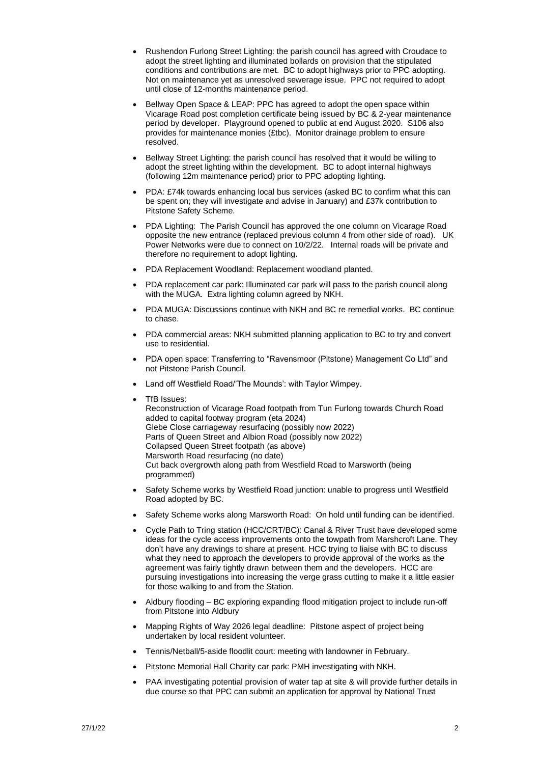- Rushendon Furlong Street Lighting: the parish council has agreed with Croudace to adopt the street lighting and illuminated bollards on provision that the stipulated conditions and contributions are met. BC to adopt highways prior to PPC adopting. Not on maintenance yet as unresolved sewerage issue. PPC not required to adopt until close of 12-months maintenance period.
- Bellway Open Space & LEAP: PPC has agreed to adopt the open space within Vicarage Road post completion certificate being issued by BC & 2-year maintenance period by developer. Playground opened to public at end August 2020. S106 also provides for maintenance monies (£tbc). Monitor drainage problem to ensure resolved.
- Bellway Street Lighting: the parish council has resolved that it would be willing to adopt the street lighting within the development. BC to adopt internal highways (following 12m maintenance period) prior to PPC adopting lighting.
- PDA: £74k towards enhancing local bus services (asked BC to confirm what this can be spent on; they will investigate and advise in January) and £37k contribution to Pitstone Safety Scheme.
- PDA Lighting: The Parish Council has approved the one column on Vicarage Road opposite the new entrance (replaced previous column 4 from other side of road). UK Power Networks were due to connect on 10/2/22. Internal roads will be private and therefore no requirement to adopt lighting.
- PDA Replacement Woodland: Replacement woodland planted.
- PDA replacement car park: Illuminated car park will pass to the parish council along with the MUGA. Extra lighting column agreed by NKH.
- PDA MUGA: Discussions continue with NKH and BC re remedial works. BC continue to chase.
- PDA commercial areas: NKH submitted planning application to BC to try and convert use to residential.
- PDA open space: Transferring to "Ravensmoor (Pitstone) Management Co Ltd" and not Pitstone Parish Council.
- Land off Westfield Road/'The Mounds': with Taylor Wimpey.
- TfB Issues:

Reconstruction of Vicarage Road footpath from Tun Furlong towards Church Road added to capital footway program (eta 2024) Glebe Close carriageway resurfacing (possibly now 2022) Parts of Queen Street and Albion Road (possibly now 2022) Collapsed Queen Street footpath (as above) Marsworth Road resurfacing (no date) Cut back overgrowth along path from Westfield Road to Marsworth (being programmed)

- Safety Scheme works by Westfield Road junction: unable to progress until Westfield Road adopted by BC.
- Safety Scheme works along Marsworth Road: On hold until funding can be identified.
- Cycle Path to Tring station (HCC/CRT/BC): Canal & River Trust have developed some ideas for the cycle access improvements onto the towpath from Marshcroft Lane. They don't have any drawings to share at present. HCC trying to liaise with BC to discuss what they need to approach the developers to provide approval of the works as the agreement was fairly tightly drawn between them and the developers. HCC are pursuing investigations into increasing the verge grass cutting to make it a little easier for those walking to and from the Station.
- Aldbury flooding BC exploring expanding flood mitigation project to include run-off from Pitstone into Aldbury
- Mapping Rights of Way 2026 legal deadline: Pitstone aspect of project being undertaken by local resident volunteer.
- Tennis/Netball/5-aside floodlit court: meeting with landowner in February.
- Pitstone Memorial Hall Charity car park: PMH investigating with NKH.
- PAA investigating potential provision of water tap at site & will provide further details in due course so that PPC can submit an application for approval by National Trust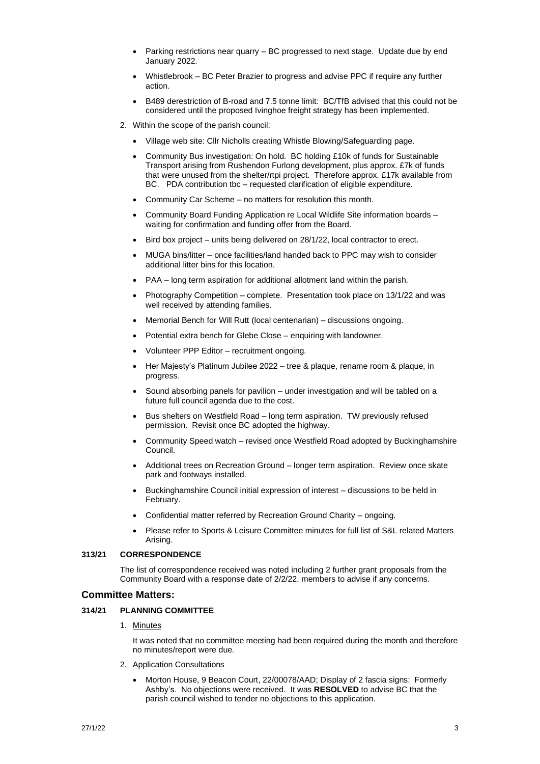- Parking restrictions near quarry BC progressed to next stage. Update due by end January 2022.
- Whistlebrook BC Peter Brazier to progress and advise PPC if require any further action.
- B489 derestriction of B-road and 7.5 tonne limit: BC/TfB advised that this could not be considered until the proposed Ivinghoe freight strategy has been implemented.
- 2. Within the scope of the parish council:
	- Village web site: Cllr Nicholls creating Whistle Blowing/Safeguarding page.
	- Community Bus investigation: On hold. BC holding £10k of funds for Sustainable Transport arising from Rushendon Furlong development, plus approx. £7k of funds that were unused from the shelter/rtpi project. Therefore approx. £17k available from BC. PDA contribution tbc – requested clarification of eligible expenditure.
	- Community Car Scheme no matters for resolution this month.
	- Community Board Funding Application re Local Wildlife Site information boards waiting for confirmation and funding offer from the Board.
	- Bird box project units being delivered on 28/1/22, local contractor to erect.
	- MUGA bins/litter once facilities/land handed back to PPC may wish to consider additional litter bins for this location.
	- PAA long term aspiration for additional allotment land within the parish.
	- Photography Competition complete. Presentation took place on 13/1/22 and was well received by attending families.
	- Memorial Bench for Will Rutt (local centenarian) discussions ongoing.
	- Potential extra bench for Glebe Close enquiring with landowner.
	- Volunteer PPP Editor recruitment ongoing.
	- Her Majesty's Platinum Jubilee 2022 tree & plaque, rename room & plaque, in progress.
	- Sound absorbing panels for pavilion under investigation and will be tabled on a future full council agenda due to the cost.
	- Bus shelters on Westfield Road long term aspiration. TW previously refused permission. Revisit once BC adopted the highway.
	- Community Speed watch revised once Westfield Road adopted by Buckinghamshire Council.
	- Additional trees on Recreation Ground longer term aspiration. Review once skate park and footways installed.
	- Buckinghamshire Council initial expression of interest discussions to be held in February.
	- Confidential matter referred by Recreation Ground Charity ongoing.
	- Please refer to Sports & Leisure Committee minutes for full list of S&L related Matters Arising.

### **313/21 CORRESPONDENCE**

The list of correspondence received was noted including 2 further grant proposals from the Community Board with a response date of 2/2/22, members to advise if any concerns.

## **Committee Matters:**

## **314/21 PLANNING COMMITTEE**

1. Minutes

It was noted that no committee meeting had been required during the month and therefore no minutes/report were due.

- 2. Application Consultations
	- Morton House, 9 Beacon Court, 22/00078/AAD; Display of 2 fascia signs: Formerly Ashby's. No objections were received. It was **RESOLVED** to advise BC that the parish council wished to tender no objections to this application.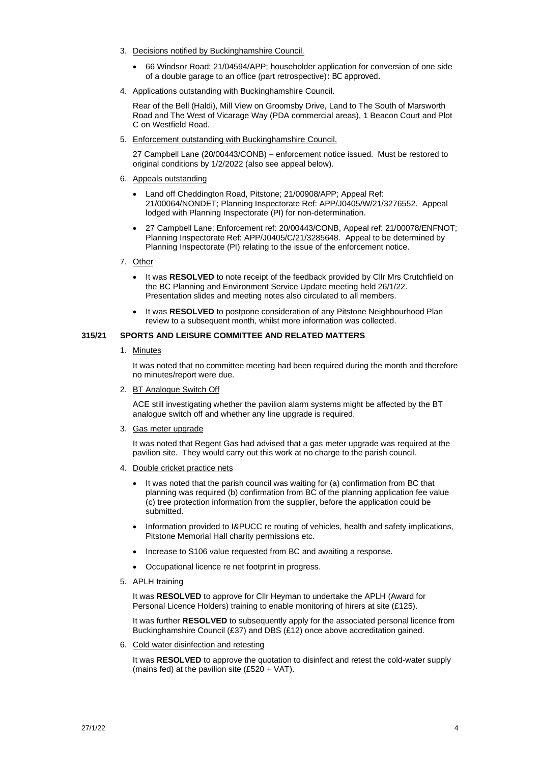- 3. Decisions notified by Buckinghamshire Council.
	- 66 Windsor Road; 21/04594/APP; householder application for conversion of one side of a double garage to an office (part retrospective): BC approved.
- 4. Applications outstanding with Buckinghamshire Council.

Rear of the Bell (Haldi), Mill View on Groomsby Drive, Land to The South of Marsworth Road and The West of Vicarage Way (PDA commercial areas), 1 Beacon Court and Plot C on Westfield Road.

5. Enforcement outstanding with Buckinghamshire Council.

27 Campbell Lane (20/00443/CONB) – enforcement notice issued. Must be restored to original conditions by 1/2/2022 (also see appeal below).

- 6. Appeals outstanding
	- Land off Cheddington Road, Pitstone; 21/00908/APP; Appeal Ref: 21/00064/NONDET; Planning Inspectorate Ref: APP/J0405/W/21/3276552. Appeal lodged with Planning Inspectorate (PI) for non-determination.
	- 27 Campbell Lane; Enforcement ref: 20/00443/CONB, Appeal ref: 21/00078/ENFNOT; Planning Inspectorate Ref: APP/J0405/C/21/3285648. Appeal to be determined by Planning Inspectorate (PI) relating to the issue of the enforcement notice.
- 7. Other
	- It was **RESOLVED** to note receipt of the feedback provided by Cllr Mrs Crutchfield on the BC Planning and Environment Service Update meeting held 26/1/22. Presentation slides and meeting notes also circulated to all members.
	- It was **RESOLVED** to postpone consideration of any Pitstone Neighbourhood Plan review to a subsequent month, whilst more information was collected.

### **315/21 SPORTS AND LEISURE COMMITTEE AND RELATED MATTERS**

#### 1. Minutes

It was noted that no committee meeting had been required during the month and therefore no minutes/report were due.

2. BT Analogue Switch Off

ACE still investigating whether the pavilion alarm systems might be affected by the BT analogue switch off and whether any line upgrade is required.

3. Gas meter upgrade

It was noted that Regent Gas had advised that a gas meter upgrade was required at the pavilion site. They would carry out this work at no charge to the parish council.

- 4. Double cricket practice nets
	- It was noted that the parish council was waiting for (a) confirmation from BC that planning was required (b) confirmation from BC of the planning application fee value (c) tree protection information from the supplier, before the application could be submitted.
	- Information provided to I&PUCC re routing of vehicles, health and safety implications, Pitstone Memorial Hall charity permissions etc.
	- Increase to S106 value requested from BC and awaiting a response.
	- Occupational licence re net footprint in progress.
- 5. APLH training

It was **RESOLVED** to approve for Cllr Heyman to undertake the APLH (Award for Personal Licence Holders) training to enable monitoring of hirers at site (£125).

It was further **RESOLVED** to subsequently apply for the associated personal licence from Buckinghamshire Council (£37) and DBS (£12) once above accreditation gained.

6. Cold water disinfection and retesting

It was **RESOLVED** to approve the quotation to disinfect and retest the cold-water supply (mains fed) at the pavilion site (£520 + VAT).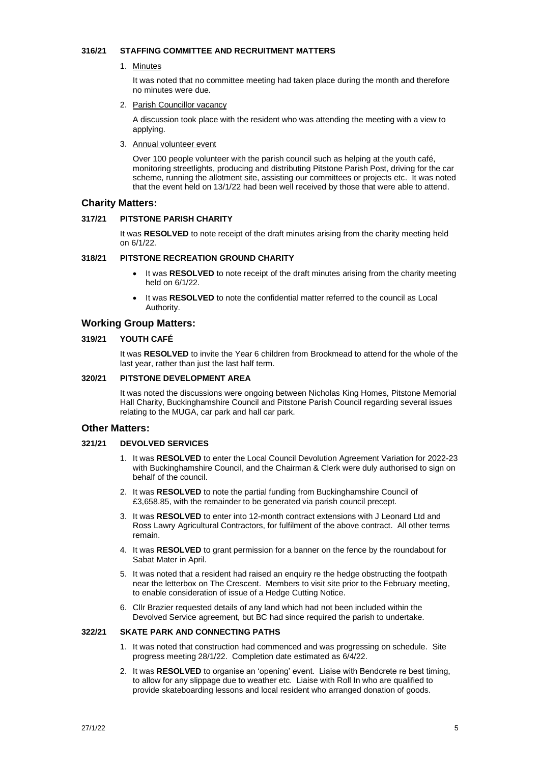#### **316/21 STAFFING COMMITTEE AND RECRUITMENT MATTERS**

1. Minutes

It was noted that no committee meeting had taken place during the month and therefore no minutes were due.

2. Parish Councillor vacancy

A discussion took place with the resident who was attending the meeting with a view to applying.

3. Annual volunteer event

Over 100 people volunteer with the parish council such as helping at the youth café, monitoring streetlights, producing and distributing Pitstone Parish Post, driving for the car scheme, running the allotment site, assisting our committees or projects etc. It was noted that the event held on 13/1/22 had been well received by those that were able to attend.

## **Charity Matters:**

### **317/21 PITSTONE PARISH CHARITY**

It was **RESOLVED** to note receipt of the draft minutes arising from the charity meeting held on 6/1/22.

## **318/21 PITSTONE RECREATION GROUND CHARITY**

- It was **RESOLVED** to note receipt of the draft minutes arising from the charity meeting held on 6/1/22.
- It was **RESOLVED** to note the confidential matter referred to the council as Local Authority.

# **Working Group Matters:**

## **319/21 YOUTH CAFÉ**

It was **RESOLVED** to invite the Year 6 children from Brookmead to attend for the whole of the last year, rather than just the last half term.

# **320/21 PITSTONE DEVELOPMENT AREA**

It was noted the discussions were ongoing between Nicholas King Homes, Pitstone Memorial Hall Charity, Buckinghamshire Council and Pitstone Parish Council regarding several issues relating to the MUGA, car park and hall car park.

### **Other Matters:**

## **321/21 DEVOLVED SERVICES**

- 1. It was **RESOLVED** to enter the Local Council Devolution Agreement Variation for 2022-23 with Buckinghamshire Council, and the Chairman & Clerk were duly authorised to sign on behalf of the council.
- 2. It was **RESOLVED** to note the partial funding from Buckinghamshire Council of £3,658.85, with the remainder to be generated via parish council precept.
- 3. It was **RESOLVED** to enter into 12-month contract extensions with J Leonard Ltd and Ross Lawry Agricultural Contractors, for fulfilment of the above contract. All other terms remain.
- 4. It was **RESOLVED** to grant permission for a banner on the fence by the roundabout for Sabat Mater in April.
- 5. It was noted that a resident had raised an enquiry re the hedge obstructing the footpath near the letterbox on The Crescent. Members to visit site prior to the February meeting, to enable consideration of issue of a Hedge Cutting Notice.
- 6. Cllr Brazier requested details of any land which had not been included within the Devolved Service agreement, but BC had since required the parish to undertake.

## **322/21 SKATE PARK AND CONNECTING PATHS**

- 1. It was noted that construction had commenced and was progressing on schedule. Site progress meeting 28/1/22. Completion date estimated as 6/4/22.
- 2. It was **RESOLVED** to organise an 'opening' event. Liaise with Bendcrete re best timing, to allow for any slippage due to weather etc. Liaise with Roll In who are qualified to provide skateboarding lessons and local resident who arranged donation of goods.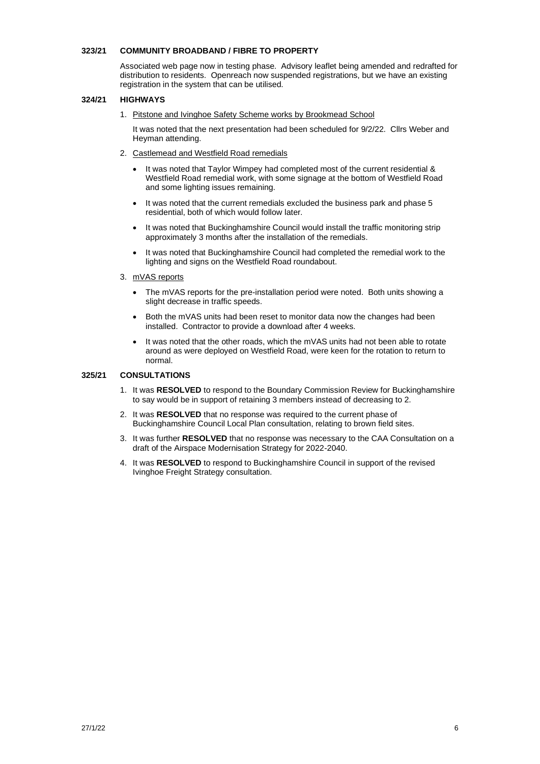#### **323/21 COMMUNITY BROADBAND / FIBRE TO PROPERTY**

Associated web page now in testing phase. Advisory leaflet being amended and redrafted for distribution to residents. Openreach now suspended registrations, but we have an existing registration in the system that can be utilised.

### **324/21 HIGHWAYS**

1. Pitstone and Ivinghoe Safety Scheme works by Brookmead School

It was noted that the next presentation had been scheduled for 9/2/22. Cllrs Weber and Heyman attending.

- 2. Castlemead and Westfield Road remedials
	- It was noted that Taylor Wimpey had completed most of the current residential & Westfield Road remedial work, with some signage at the bottom of Westfield Road and some lighting issues remaining.
	- It was noted that the current remedials excluded the business park and phase 5 residential, both of which would follow later.
	- It was noted that Buckinghamshire Council would install the traffic monitoring strip approximately 3 months after the installation of the remedials.
	- It was noted that Buckinghamshire Council had completed the remedial work to the lighting and signs on the Westfield Road roundabout.
- 3. mVAS reports
	- The mVAS reports for the pre-installation period were noted. Both units showing a slight decrease in traffic speeds.
	- Both the mVAS units had been reset to monitor data now the changes had been installed. Contractor to provide a download after 4 weeks.
	- It was noted that the other roads, which the mVAS units had not been able to rotate around as were deployed on Westfield Road, were keen for the rotation to return to normal.

## **325/21 CONSULTATIONS**

- 1. It was **RESOLVED** to respond to the Boundary Commission Review for Buckinghamshire to say would be in support of retaining 3 members instead of decreasing to 2.
- 2. It was **RESOLVED** that no response was required to the current phase of Buckinghamshire Council Local Plan consultation, relating to brown field sites.
- 3. It was further **RESOLVED** that no response was necessary to the CAA Consultation on a draft of the Airspace Modernisation Strategy for 2022-2040.
- 4. It was **RESOLVED** to respond to Buckinghamshire Council in support of the revised Ivinghoe Freight Strategy consultation.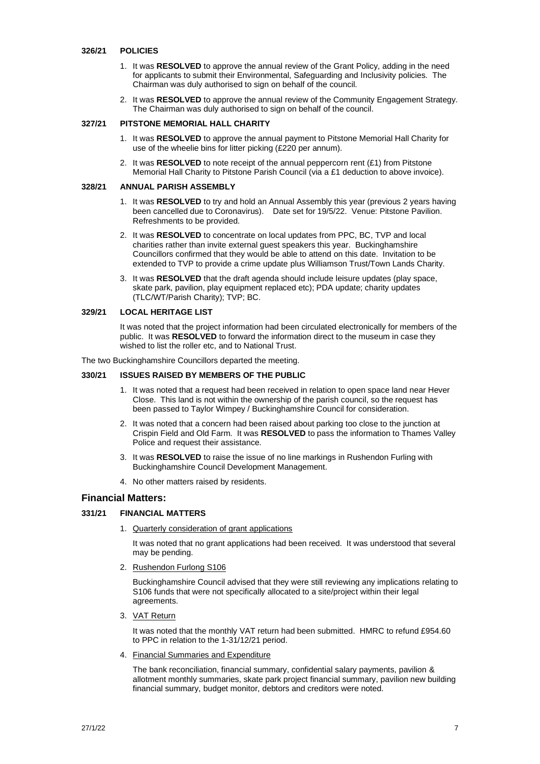#### **326/21 POLICIES**

- 1. It was **RESOLVED** to approve the annual review of the Grant Policy, adding in the need for applicants to submit their Environmental, Safeguarding and Inclusivity policies. The Chairman was duly authorised to sign on behalf of the council.
- 2. It was **RESOLVED** to approve the annual review of the Community Engagement Strategy. The Chairman was duly authorised to sign on behalf of the council.

#### **327/21 PITSTONE MEMORIAL HALL CHARITY**

- 1. It was **RESOLVED** to approve the annual payment to Pitstone Memorial Hall Charity for use of the wheelie bins for litter picking (£220 per annum).
- 2. It was **RESOLVED** to note receipt of the annual peppercorn rent (£1) from Pitstone Memorial Hall Charity to Pitstone Parish Council (via a £1 deduction to above invoice).

## **328/21 ANNUAL PARISH ASSEMBLY**

- 1. It was **RESOLVED** to try and hold an Annual Assembly this year (previous 2 years having been cancelled due to Coronavirus). Date set for 19/5/22. Venue: Pitstone Pavilion. Refreshments to be provided.
- 2. It was **RESOLVED** to concentrate on local updates from PPC, BC, TVP and local charities rather than invite external guest speakers this year. Buckinghamshire Councillors confirmed that they would be able to attend on this date. Invitation to be extended to TVP to provide a crime update plus Williamson Trust/Town Lands Charity.
- 3. It was **RESOLVED** that the draft agenda should include leisure updates (play space, skate park, pavilion, play equipment replaced etc); PDA update; charity updates (TLC/WT/Parish Charity); TVP; BC.

## **329/21 LOCAL HERITAGE LIST**

It was noted that the project information had been circulated electronically for members of the public. It was **RESOLVED** to forward the information direct to the museum in case they wished to list the roller etc, and to National Trust.

The two Buckinghamshire Councillors departed the meeting.

#### **330/21 ISSUES RAISED BY MEMBERS OF THE PUBLIC**

- 1. It was noted that a request had been received in relation to open space land near Hever Close. This land is not within the ownership of the parish council, so the request has been passed to Taylor Wimpey / Buckinghamshire Council for consideration.
- 2. It was noted that a concern had been raised about parking too close to the junction at Crispin Field and Old Farm. It was **RESOLVED** to pass the information to Thames Valley Police and request their assistance.
- 3. It was **RESOLVED** to raise the issue of no line markings in Rushendon Furling with Buckinghamshire Council Development Management.
- 4. No other matters raised by residents.

### **Financial Matters:**

## **331/21 FINANCIAL MATTERS**

1. Quarterly consideration of grant applications

It was noted that no grant applications had been received. It was understood that several may be pending.

2. Rushendon Furlong S106

Buckinghamshire Council advised that they were still reviewing any implications relating to S106 funds that were not specifically allocated to a site/project within their legal agreements.

3. VAT Return

It was noted that the monthly VAT return had been submitted. HMRC to refund £954.60 to PPC in relation to the 1-31/12/21 period.

4. Financial Summaries and Expenditure

The bank reconciliation, financial summary, confidential salary payments, pavilion & allotment monthly summaries, skate park project financial summary, pavilion new building financial summary, budget monitor, debtors and creditors were noted.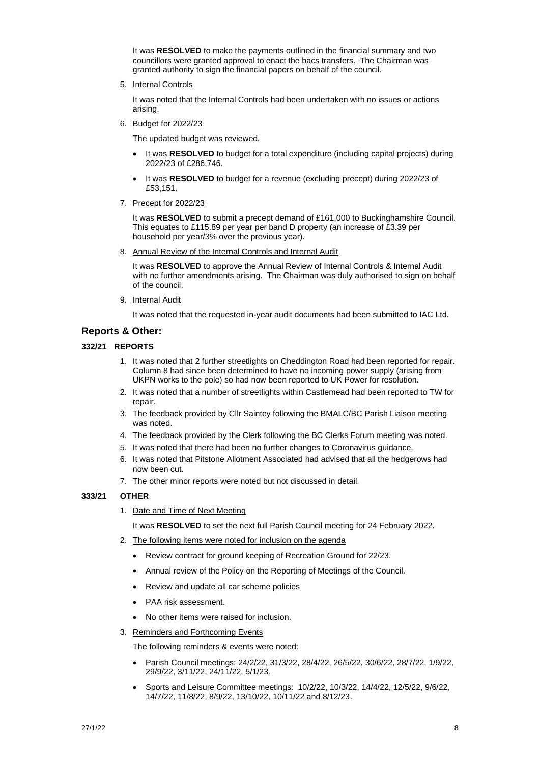It was **RESOLVED** to make the payments outlined in the financial summary and two councillors were granted approval to enact the bacs transfers. The Chairman was granted authority to sign the financial papers on behalf of the council.

5. Internal Controls

It was noted that the Internal Controls had been undertaken with no issues or actions arising.

6. Budget for 2022/23

The updated budget was reviewed.

- It was **RESOLVED** to budget for a total expenditure (including capital projects) during 2022/23 of £286,746.
- It was **RESOLVED** to budget for a revenue (excluding precept) during 2022/23 of £53,151.
- 7. Precept for 2022/23

It was **RESOLVED** to submit a precept demand of £161,000 to Buckinghamshire Council. This equates to £115.89 per year per band D property (an increase of £3.39 per household per year/3% over the previous year).

8. Annual Review of the Internal Controls and Internal Audit

It was **RESOLVED** to approve the Annual Review of Internal Controls & Internal Audit with no further amendments arising. The Chairman was duly authorised to sign on behalf of the council.

9. Internal Audit

It was noted that the requested in-year audit documents had been submitted to IAC Ltd.

# **Reports & Other:**

## **332/21 REPORTS**

- 1. It was noted that 2 further streetlights on Cheddington Road had been reported for repair. Column 8 had since been determined to have no incoming power supply (arising from UKPN works to the pole) so had now been reported to UK Power for resolution.
- 2. It was noted that a number of streetlights within Castlemead had been reported to TW for repair.
- 3. The feedback provided by Cllr Saintey following the BMALC/BC Parish Liaison meeting was noted.
- 4. The feedback provided by the Clerk following the BC Clerks Forum meeting was noted.
- 5. It was noted that there had been no further changes to Coronavirus guidance.
- 6. It was noted that Pitstone Allotment Associated had advised that all the hedgerows had now been cut.
- 7. The other minor reports were noted but not discussed in detail.

### **333/21 OTHER**

1. Date and Time of Next Meeting

It was **RESOLVED** to set the next full Parish Council meeting for 24 February 2022.

- 2. The following items were noted for inclusion on the agenda
	- Review contract for ground keeping of Recreation Ground for 22/23.
	- Annual review of the Policy on the Reporting of Meetings of the Council.
	- Review and update all car scheme policies
	- PAA risk assessment.
	- No other items were raised for inclusion.
- 3. Reminders and Forthcoming Events

The following reminders & events were noted:

- Parish Council meetings: 24/2/22, 31/3/22, 28/4/22, 26/5/22, 30/6/22, 28/7/22, 1/9/22, 29/9/22, 3/11/22, 24/11/22, 5/1/23.
- Sports and Leisure Committee meetings: 10/2/22, 10/3/22, 14/4/22, 12/5/22, 9/6/22, 14/7/22, 11/8/22, 8/9/22, 13/10/22, 10/11/22 and 8/12/23.